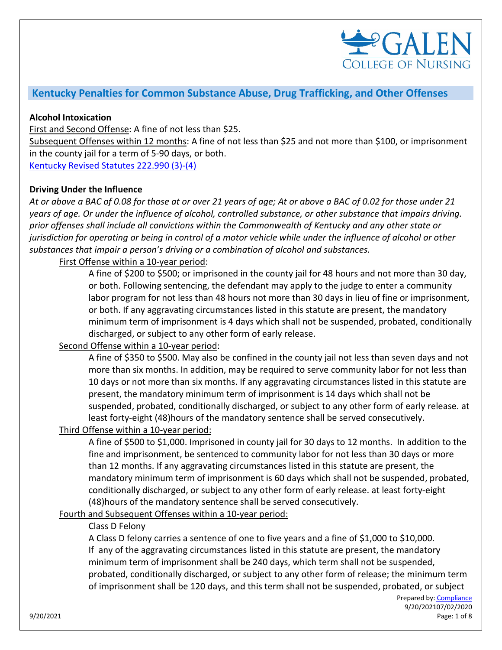

# **Kentucky Penalties for Common Substance Abuse, Drug Trafficking, and Other Offenses**

#### **Alcohol Intoxication**

First and Second Offense: A fine of not less than \$25.

Subsequent Offenses within 12 months: A fine of not less than \$25 and not more than \$100, or imprisonment in the county jail for a term of 5-90 days, or both.

[Kentucky Revised Statutes 222.990](https://apps.legislature.ky.gov/law/statutes/statute.aspx?id=9956) (3)[-\(4\)](https://apps.legislature.ky.gov/law/statutes/statute.aspx?id=9956)

#### **Driving Under the Influence**

*At or above a BAC of 0.08 for those at or over 21 years of age; At or above a BAC of 0.02 for those under 21 years of age. Or under the influence of alcohol, controlled substance, or other substance that impairs driving. prior offenses shall include all convictions within the Commonwealth of Kentucky and any other state or jurisdiction for operating or being in control of a motor vehicle while under the influence of alcohol or other substances that impair a person's driving or a combination of alcohol and substances.*

First Offense within a 10-year period:

A fine of \$200 to \$500; or imprisoned in the county jail for 48 hours and not more than 30 day, or both. Following sentencing, the defendant may apply to the judge to enter a community labor program for not less than 48 hours not more than 30 days in lieu of fine or imprisonment, or both. If any aggravating circumstances listed in this statute are present, the mandatory minimum term of imprisonment is 4 days which shall not be suspended, probated, conditionally discharged, or subject to any other form of early release.

#### Second Offense within a 10-year period:

A fine of \$350 to \$500. May also be confined in the county jail not less than seven days and not more than six months. In addition, may be required to serve community labor for not less than 10 days or not more than six months. If any aggravating circumstances listed in this statute are present, the mandatory minimum term of imprisonment is 14 days which shall not be suspended, probated, conditionally discharged, or subject to any other form of early release. at least forty-eight (48)hours of the mandatory sentence shall be served consecutively.

# Third Offense within a 10-year period:

A fine of \$500 to \$1,000. Imprisoned in county jail for 30 days to 12 months. In addition to the fine and imprisonment, be sentenced to community labor for not less than 30 days or more than 12 months. If any aggravating circumstances listed in this statute are present, the mandatory minimum term of imprisonment is 60 days which shall not be suspended, probated, conditionally discharged, or subject to any other form of early release. at least forty-eight (48)hours of the mandatory sentence shall be served consecutively.

Fourth and Subsequent Offenses within a 10-year period:

#### Class D Felony

A Class D felony carries a sentence of one to five years and a fine of \$1,000 to \$10,000. If any of the aggravating circumstances listed in this statute are present, the mandatory minimum term of imprisonment shall be 240 days, which term shall not be suspended, probated, conditionally discharged, or subject to any other form of release; the minimum term of imprisonment shall be 120 days, and this term shall not be suspended, probated, or subject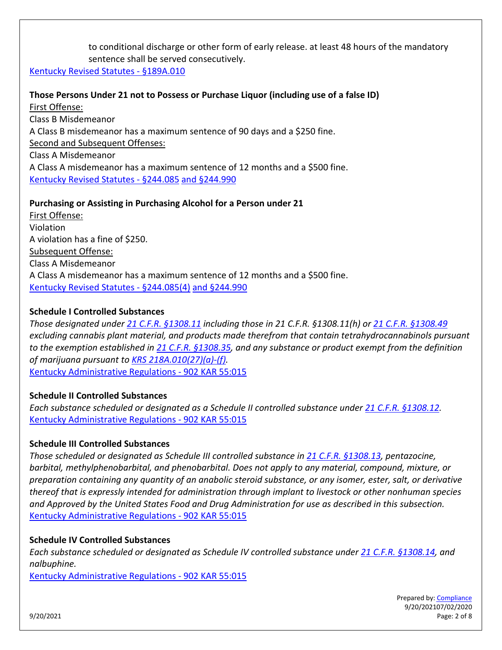to conditional discharge or other form of early release. at least 48 hours of the mandatory sentence shall be served consecutively.

[Kentucky Revised Statutes -](https://apps.legislature.ky.gov/law/statutes/statute.aspx?id=49563) [§189A.010](https://apps.legislature.ky.gov/law/statutes/statute.aspx?id=49563)

**Those Persons Under 21 not to Possess or Purchase Liquor (including use of a false ID)** First Offense: Class B Misdemeanor A Class B misdemeanor has a maximum sentence of 90 days and a \$250 fine. Second and Subsequent Offenses: Class A Misdemeanor A Class A misdemeanor has a maximum sentence of 12 months and a \$500 fine. [Kentucky Revised Statutes -](https://apps.legislature.ky.gov/law/statutes/statute.aspx?id=45989) [§244.085](https://apps.legislature.ky.gov/law/statutes/statute.aspx?id=45989) [and §244.990](https://apps.legislature.ky.gov/law/statutes/statute.aspx?id=46009)

### **Purchasing or Assisting in Purchasing Alcohol for a Person under 21**

First Offense: Violation A violation has a fine of \$250. Subsequent Offense: Class A Misdemeanor A Class A misdemeanor has a maximum sentence of 12 months and a \$500 fine. [Kentucky Revised Statutes -](https://apps.legislature.ky.gov/law/statutes/statute.aspx?id=45989) [§244.085\(4\)](https://apps.legislature.ky.gov/law/statutes/statute.aspx?id=45989) [and §244.990](https://apps.legislature.ky.gov/law/statutes/statute.aspx?id=46009)

### **Schedule I Controlled Substances**

*Those designated under [21 C.F.R. §1308.11](https://www.deadiversion.usdoj.gov/21cfr/cfr/1308/1308_11.htm) including those in 21 C.F.R. §1308.11(h) or [21 C.F.R. §1308.49](https://www.deadiversion.usdoj.gov/21cfr/cfr/1308/1308_49.htm) excluding cannabis plant material, and products made therefrom that contain tetrahydrocannabinols pursuant to the exemption established in [21 C.F.R. §1308.35,](https://www.deadiversion.usdoj.gov/21cfr/cfr/1308/1308_35.htm) and any substance or product exempt from the definition of marijuana pursuant to [KRS 218A.010\(27\)\(a\)-\(f\).](https://apps.legislature.ky.gov/law/statutes/statute.aspx?id=46889)*  [Kentucky Administrative Regulations -](https://apps.legislature.ky.gov/law/kar/902/055/015.pdf) [902 KAR 55:015](https://apps.legislature.ky.gov/law/kar/902/055/015.pdf)

#### **Schedule II Controlled Substances**

*Each substance scheduled or designated as a Schedule II controlled substance under [21 C.F.R. §1308.12.](https://www.deadiversion.usdoj.gov/21cfr/cfr/1308/1308_12.htm)* [Kentucky Administrative Regulations -](https://apps.legislature.ky.gov/law/kar/902/055/015.pdf) [902 KAR 55:015](https://apps.legislature.ky.gov/law/kar/902/055/015.pdf)

#### **Schedule III Controlled Substances**

*Those scheduled or designated as Schedule III controlled substance in [21 C.F.R. §1308.13,](https://www.deadiversion.usdoj.gov/21cfr/cfr/1308/1308_13.htm) pentazocine, barbital, methylphenobarbital, and phenobarbital. Does not apply to any material, compound, mixture, or preparation containing any quantity of an anabolic steroid substance, or any isomer, ester, salt, or derivative thereof that is expressly intended for administration through implant to livestock or other nonhuman species and Approved by the United States Food and Drug Administration for use as described in this subsection.*  [Kentucky Administrative Regulations -](https://apps.legislature.ky.gov/law/kar/902/055/015.pdf) [902 KAR 55:015](https://apps.legislature.ky.gov/law/kar/902/055/015.pdf)

#### **Schedule IV Controlled Substances**

*Each substance scheduled or designated as Schedule IV controlled substance under [21 C.F.R. §1308.14,](https://www.deadiversion.usdoj.gov/21cfr/cfr/1308/1308_14.htm) and nalbuphine.* 

[Kentucky Administrative Regulations -](https://apps.legislature.ky.gov/law/kar/902/055/015.pdf) [902 KAR 55:015](https://apps.legislature.ky.gov/law/kar/902/055/015.pdf)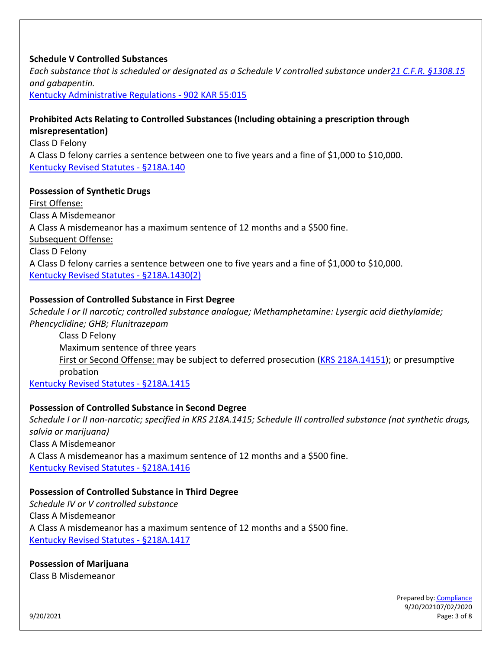## **Schedule V Controlled Substances**

*Each substance that is scheduled or designated as a Schedule V controlled substance unde[r21 C.F.R. §1308.15](https://www.deadiversion.usdoj.gov/21cfr/cfr/1308/1308_15.htm) and gabapentin.* 

[Kentucky Administrative Regulations -](https://apps.legislature.ky.gov/law/kar/902/055/015.pdf) [902 KAR 55:015](https://apps.legislature.ky.gov/law/kar/902/055/015.pdf)

#### **Prohibited Acts Relating to Controlled Substances (Including obtaining a prescription through misrepresentation)**

Class D Felony A Class D felony carries a sentence between one to five years and a fine of \$1,000 to \$10,000. [Kentucky Revised Statutes -](https://apps.legislature.ky.gov/law/statutes/statute.aspx?id=39528) [§218A.140](https://apps.legislature.ky.gov/law/statutes/statute.aspx?id=39528)

### **Possession of Synthetic Drugs**

First Offense: Class A Misdemeanor A Class A misdemeanor has a maximum sentence of 12 months and a \$500 fine. Subsequent Offense: Class D Felony A Class D felony carries a sentence between one to five years and a fine of \$1,000 to \$10,000. [Kentucky Revised Statutes -](https://apps.legislature.ky.gov/law/statutes/statute.aspx?id=44892) [§218A.1430\(2\)](https://apps.legislature.ky.gov/law/statutes/statute.aspx?id=44892)

### **Possession of Controlled Substance in First Degree**

*Schedule I or II narcotic; controlled substance analogue; Methamphetamine: Lysergic acid diethylamide; Phencyclidine; GHB; Flunitrazepam* Class D Felony

Maximum sentence of three years First or Second Offense: may be subject to deferred prosecution [\(KRS 218A.14151\)](https://apps.legislature.ky.gov/law/statutes/statute.aspx?id=40911); or presumptive probation

[Kentucky Revised Statutes -](https://apps.legislature.ky.gov/law/statutes/statute.aspx?id=39533) [§218A.1415](https://apps.legislature.ky.gov/law/statutes/statute.aspx?id=39533)

## **Possession of Controlled Substance in Second Degree**

*Schedule I or II non-narcotic; specified in KRS 218A.1415; Schedule III controlled substance (not synthetic drugs, salvia or marijuana)* Class A Misdemeanor A Class A misdemeanor has a maximum sentence of 12 months and a \$500 fine. [Kentucky Revised Statutes -](https://apps.legislature.ky.gov/law/statutes/statute.aspx?id=40033) [§218A.1416](https://apps.legislature.ky.gov/law/statutes/statute.aspx?id=40033)

#### **Possession of Controlled Substance in Third Degree**

*Schedule IV or V controlled substance* Class A Misdemeanor A Class A misdemeanor has a maximum sentence of 12 months and a \$500 fine. [Kentucky Revised Statutes -](https://apps.legislature.ky.gov/law/statutes/statute.aspx?id=39534) [§218A.1417](https://apps.legislature.ky.gov/law/statutes/statute.aspx?id=39534)

**Possession of Marijuana**  Class B Misdemeanor

Prepared by: **Compliance** 9/20/202107/02/2020 9/20/2021 Page: 3 of 8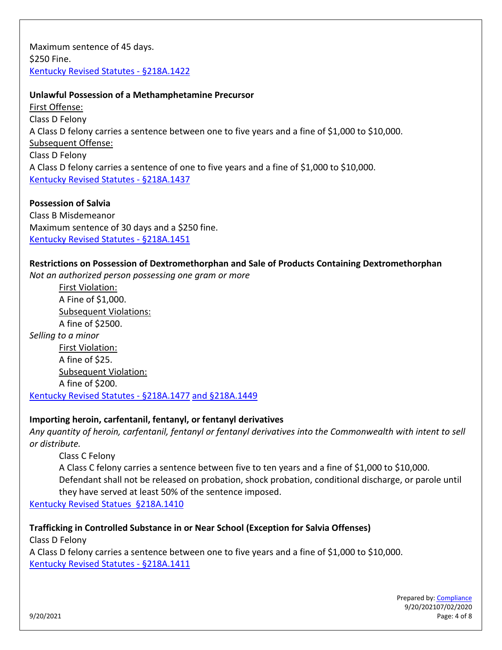Maximum sentence of 45 days. \$250 Fine. [Kentucky Revised Statutes -](https://apps.legislature.ky.gov/law/statutes/statute.aspx?id=39536) [§218A.1422](https://apps.legislature.ky.gov/law/statutes/statute.aspx?id=39536)

### **Unlawful Possession of a Methamphetamine Precursor**

First Offense: Class D Felony A Class D felony carries a sentence between one to five years and a fine of \$1,000 to \$10,000. Subsequent Offense: Class D Felony A Class D felony carries a sentence of one to five years and a fine of \$1,000 to \$10,000. [Kentucky Revised Statutes -](https://apps.legislature.ky.gov/law/statutes/statute.aspx?id=9659) [§218A.1437](https://apps.legislature.ky.gov/law/statutes/statute.aspx?id=9659)

**Possession of Salvia** Class B Misdemeanor Maximum sentence of 30 days and a \$250 fine. [Kentucky Revised Statutes -](https://apps.legislature.ky.gov/law/statutes/statute.aspx?id=39538) [§218A.1451](https://apps.legislature.ky.gov/law/statutes/statute.aspx?id=39538)

#### **Restrictions on Possession of Dextromethorphan and Sale of Products Containing Dextromethorphan**

*Not an authorized person possessing one gram or more*

First Violation: A Fine of \$1,000. Subsequent Violations: A fine of \$2500. *Selling to a minor* First Violation: A fine of \$25. Subsequent Violation: A fine of \$200. [Kentucky Revised Statutes -](https://apps.legislature.ky.gov/law/statutes/statute.aspx?id=44260) [§218A.1477](https://apps.legislature.ky.gov/law/statutes/statute.aspx?id=44260) [and §218A.1449](https://apps.legislature.ky.gov/law/statutes/statute.aspx?id=44262)

#### **Importing heroin, carfentanil, fentanyl, or fentanyl derivatives**

*Any quantity of heroin, carfentanil, fentanyl or fentanyl derivatives into the Commonwealth with intent to sell or distribute.*

Class C Felony A Class C felony carries a sentence between five to ten years and a fine of \$1,000 to \$10,000. Defendant shall not be released on probation, shock probation, conditional discharge, or parole until they have served at least 50% of the sentence imposed.

[Kentucky Revised Statues §218A.1410](https://apps.legislature.ky.gov/law/statutes/statute.aspx?id=46890)

**Trafficking in Controlled Substance in or Near School (Exception for Salvia Offenses)** Class D Felony A Class D felony carries a sentence between one to five years and a fine of \$1,000 to \$10,000. [Kentucky Revised Statutes -](https://apps.legislature.ky.gov/law/statutes/statute.aspx?id=40031) [§218A.1411](https://apps.legislature.ky.gov/law/statutes/statute.aspx?id=40031)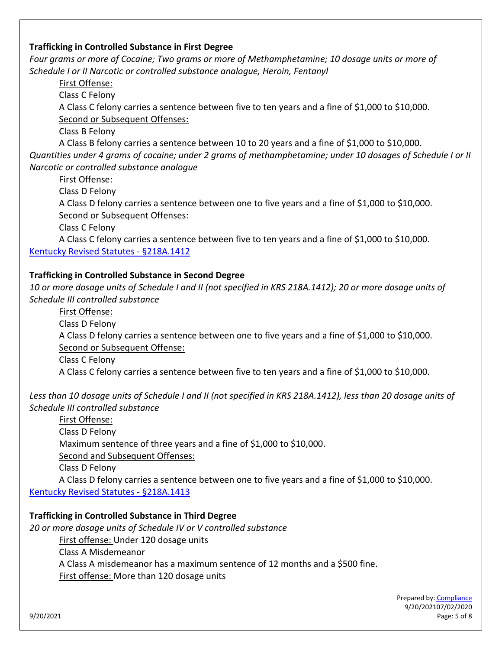### **Trafficking in Controlled Substance in First Degree**

*Four grams or more of Cocaine; Two grams or more of Methamphetamine; 10 dosage units or more of Schedule I or II Narcotic or controlled substance analogue, Heroin, Fentanyl*

First Offense:

Class C Felony

A Class C felony carries a sentence between five to ten years and a fine of \$1,000 to \$10,000. Second or Subsequent Offenses:

Class B Felony

A Class B felony carries a sentence between 10 to 20 years and a fine of \$1,000 to \$10,000. *Quantities under 4 grams of cocaine; under 2 grams of methamphetamine; under 10 dosages of Schedule I or II Narcotic or controlled substance analogue*

First Offense:

Class D Felony

A Class D felony carries a sentence between one to five years and a fine of \$1,000 to \$10,000. Second or Subsequent Offenses:

Class C Felony

A Class C felony carries a sentence between five to ten years and a fine of \$1,000 to \$10,000. [Kentucky Revised Statutes -](https://apps.legislature.ky.gov/law/statutes/statute.aspx?id=49015) [§218A.1412](https://apps.legislature.ky.gov/law/statutes/statute.aspx?id=49015)

## **Trafficking in Controlled Substance in Second Degree**

*10 or more dosage units of Schedule I and II (not specified in KRS 218A.1412); 20 or more dosage units of Schedule III controlled substance*

First Offense: Class D Felony A Class D felony carries a sentence between one to five years and a fine of \$1,000 to \$10,000. Second or Subsequent Offense:

Class C Felony

A Class C felony carries a sentence between five to ten years and a fine of \$1,000 to \$10,000.

Less than 10 dosage units of Schedule I and II (not specified in KRS 218A.1412), less than 20 dosage units of *Schedule III controlled substance*

First Offense: Class D Felony Maximum sentence of three years and a fine of \$1,000 to \$10,000. Second and Subsequent Offenses:

Class D Felony

A Class D felony carries a sentence between one to five years and a fine of \$1,000 to \$10,000. [Kentucky Revised Statutes -](https://apps.legislature.ky.gov/law/statutes/statute.aspx?id=40032) [§218A.1413](https://apps.legislature.ky.gov/law/statutes/statute.aspx?id=40032)

## **Trafficking in Controlled Substance in Third Degree**

*20 or more dosage units of Schedule IV or V controlled substance*

First offense: Under 120 dosage units

Class A Misdemeanor

A Class A misdemeanor has a maximum sentence of 12 months and a \$500 fine.

First offense: More than 120 dosage units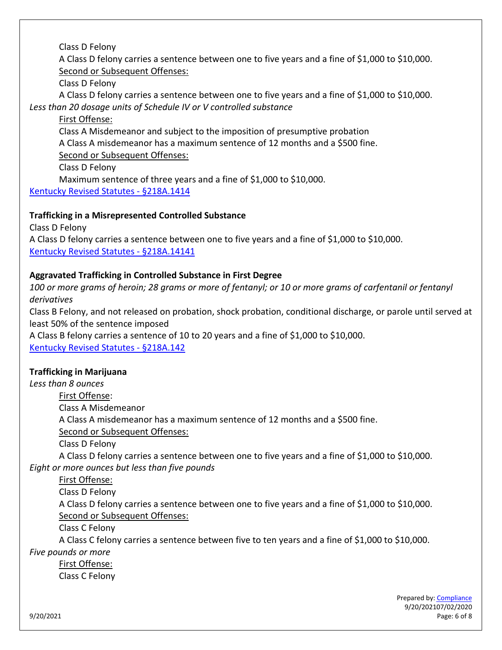Class D Felony

A Class D felony carries a sentence between one to five years and a fine of \$1,000 to \$10,000. Second or Subsequent Offenses:

Class D Felony

A Class D felony carries a sentence between one to five years and a fine of \$1,000 to \$10,000. *Less than 20 dosage units of Schedule IV or V controlled substance* 

First Offense:

Class A Misdemeanor and subject to the imposition of presumptive probation A Class A misdemeanor has a maximum sentence of 12 months and a \$500 fine. Second or Subsequent Offenses:

Class D Felony

Maximum sentence of three years and a fine of \$1,000 to \$10,000.

[Kentucky Revised Statutes -](https://apps.legislature.ky.gov/law/statutes/statute.aspx?id=44012) [§218A.1414](https://apps.legislature.ky.gov/law/statutes/statute.aspx?id=44012)

# **Trafficking in a Misrepresented Controlled Substance**

Class D Felony A Class D felony carries a sentence between one to five years and a fine of \$1,000 to \$10,000. [Kentucky Revised Statutes -](https://apps.legislature.ky.gov/law/statutes/statute.aspx?id=46894) [§218A.14141](https://apps.legislature.ky.gov/law/statutes/statute.aspx?id=46894)

# **Aggravated Trafficking in Controlled Substance in First Degree**

*100 or more grams of heroin; 28 grams or more of fentanyl; or 10 or more grams of carfentanil or fentanyl derivatives* 

Class B Felony, and not released on probation, shock probation, conditional discharge, or parole until served at least 50% of the sentence imposed

A Class B felony carries a sentence of 10 to 20 years and a fine of \$1,000 to \$10,000.

[Kentucky Revised Statutes -](https://apps.legislature.ky.gov/law/statutes/statute.aspx?id=46892) [§218A.142](https://apps.legislature.ky.gov/law/statutes/statute.aspx?id=46892)

# **Trafficking in Marijuana**

*Less than 8 ounces*

First Offense:

Class A Misdemeanor

A Class A misdemeanor has a maximum sentence of 12 months and a \$500 fine.

Second or Subsequent Offenses:

Class D Felony

A Class D felony carries a sentence between one to five years and a fine of \$1,000 to \$10,000. *Eight or more ounces but less than five pounds*

First Offense:

Class D Felony

A Class D felony carries a sentence between one to five years and a fine of \$1,000 to \$10,000. Second or Subsequent Offenses:

Class C Felony

A Class C felony carries a sentence between five to ten years and a fine of \$1,000 to \$10,000.

*Five pounds or more* 

First Offense: Class C Felony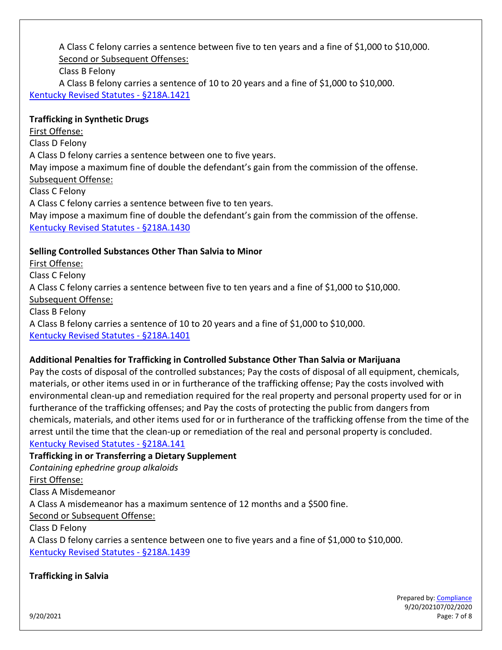A Class C felony carries a sentence between five to ten years and a fine of \$1,000 to \$10,000. Second or Subsequent Offenses:

Class B Felony

A Class B felony carries a sentence of 10 to 20 years and a fine of \$1,000 to \$10,000. [Kentucky Revised Statutes -](https://apps.legislature.ky.gov/law/statutes/statute.aspx?id=9650) [§218A.1421](https://apps.legislature.ky.gov/law/statutes/statute.aspx?id=9650)

## **Trafficking in Synthetic Drugs**

First Offense: Class D Felony A Class D felony carries a sentence between one to five years. May impose a maximum fine of double the defendant's gain from the commission of the offense. Subsequent Offense: Class C Felony

A Class C felony carries a sentence between five to ten years. May impose a maximum fine of double the defendant's gain from the commission of the offense. [Kentucky Revised](https://apps.legislature.ky.gov/law/statutes/statute.aspx?id=44892) Statutes - [§218A.1430](https://apps.legislature.ky.gov/law/statutes/statute.aspx?id=44892)

## **Selling Controlled Substances Other Than Salvia to Minor**

First Offense: Class C Felony A Class C felony carries a sentence between five to ten years and a fine of \$1,000 to \$10,000. Subsequent Offense: Class B Felony A Class B felony carries a sentence of 10 to 20 years and a fine of \$1,000 to \$10,000. [Kentucky Revised Statutes -](https://apps.legislature.ky.gov/law/statutes/statute.aspx?id=44893) [§218A.1401](https://apps.legislature.ky.gov/law/statutes/statute.aspx?id=44893)

## **Additional Penalties for Trafficking in Controlled Substance Other Than Salvia or Marijuana**

Pay the costs of disposal of the controlled substances; Pay the costs of disposal of all equipment, chemicals, materials, or other items used in or in furtherance of the trafficking offense; Pay the costs involved with environmental clean-up and remediation required for the real property and personal property used for or in furtherance of the trafficking offenses; and Pay the costs of protecting the public from dangers from chemicals, materials, and other items used for or in furtherance of the trafficking offense from the time of the arrest until the time that the clean-up or remediation of the real and personal property is concluded. [Kentucky Revised Statutes -](https://apps.legislature.ky.gov/law/statutes/statute.aspx?id=40030) [§218A.141](https://apps.legislature.ky.gov/law/statutes/statute.aspx?id=40030)

**Trafficking in or Transferring a Dietary Supplement**  *Containing ephedrine group alkaloids* First Offense: Class A Misdemeanor A Class A misdemeanor has a maximum sentence of 12 months and a \$500 fine. Second or Subsequent Offense: Class D Felony A Class D felony carries a sentence between one to five years and a fine of \$1,000 to \$10,000.

[Kentucky Revised Statutes -](https://apps.legislature.ky.gov/law/statutes/statute.aspx?id=9661) §218[A.1439](https://apps.legislature.ky.gov/law/statutes/statute.aspx?id=9661)

## **Trafficking in Salvia**